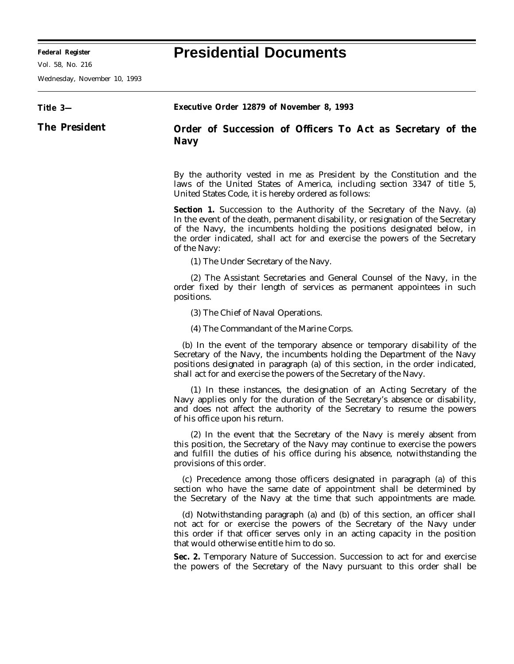## **Federal Register Presidential Documents**

Vol. 58, No. 216

Wednesday, November 10, 1993

| Title 3-             | <b>Executive Order 12879 of November 8, 1993</b>                                                                                                                                                                                                                                                                                             |
|----------------------|----------------------------------------------------------------------------------------------------------------------------------------------------------------------------------------------------------------------------------------------------------------------------------------------------------------------------------------------|
| <b>The President</b> | Order of Succession of Officers To Act as Secretary of the<br><b>Navy</b>                                                                                                                                                                                                                                                                    |
|                      | By the authority vested in me as President by the Constitution and the<br>laws of the United States of America, including section 3347 of title 5,<br>United States Code, it is hereby ordered as follows:                                                                                                                                   |
|                      | <b>Section 1.</b> Succession to the Authority of the Secretary of the Navy. (a)<br>In the event of the death, permanent disability, or resignation of the Secretary<br>of the Navy, the incumbents holding the positions designated below, in<br>the order indicated, shall act for and exercise the powers of the Secretary<br>of the Navy: |
|                      | (1) The Under Secretary of the Navy.                                                                                                                                                                                                                                                                                                         |
|                      | (2) The Assistant Secretaries and General Counsel of the Navy, in the<br>order fixed by their length of services as permanent appointees in such<br>positions.                                                                                                                                                                               |
|                      | (3) The Chief of Naval Operations.                                                                                                                                                                                                                                                                                                           |
|                      | (4) The Commandant of the Marine Corps.                                                                                                                                                                                                                                                                                                      |
|                      | (b) In the event of the temporary absence or temporary disability of the<br>Secretary of the Navy, the incumbents holding the Department of the Navy<br>positions designated in paragraph (a) of this section, in the order indicated,<br>shall act for and exercise the powers of the Secretary of the Navy.                                |
|                      | (1) In these instances, the designation of an Acting Secretary of the<br>Navy applies only for the duration of the Secretary's absence or disability,<br>and does not affect the authority of the Secretary to resume the powers<br>of his office upon his return.                                                                           |
|                      | (2) In the event that the Secretary of the Navy is merely absent from<br>this position, the Secretary of the Navy may continue to exercise the powers<br>and fulfill the duties of his office during his absence, notwithstanding the<br>provisions of this order.                                                                           |
|                      | (c) Precedence among those officers designated in paragraph (a) of this<br>section who have the same date of appointment shall be determined by<br>the Secretary of the Navy at the time that such appointments are made.                                                                                                                    |
|                      | (d) Notwithstanding paragraph (a) and (b) of this section, an officer shall<br>not act for or exercise the powers of the Secretary of the Navy under<br>this order if that officer serves only in an acting capacity in the position<br>that would otherwise entitle him to do so.                                                           |
|                      | Sec. 2. Temporary Nature of Succession. Succession to act for and exercise<br>the powers of the Secretary of the Navy pursuant to this order shall be                                                                                                                                                                                        |
|                      |                                                                                                                                                                                                                                                                                                                                              |
|                      |                                                                                                                                                                                                                                                                                                                                              |